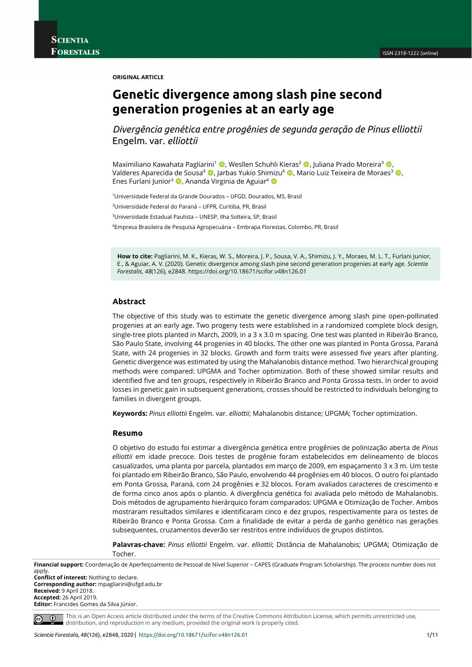**ORIGINAL ARTICLE**

# **Genetic divergence among slash pine second generation progenies at an early age**

*Divergência genética entre progênies de segunda geração de Pinus elliottii*  Engelm. var. *elliottii* 

Maximiliano Kawahata Pagliarini<sup>1</sup>  $\bullet$ , Wesllen Schuhli Kieras<sup>2</sup>  $\bullet$ , Juliana Prado Moreira<sup>3</sup>  $\bullet$ Valderes Aparecida de Sousa<sup>4</sup> (0, Jarbas Yukio Shimizu<sup>4</sup> (0, Mario Luiz Teixeira de Moraes<sup>3</sup> (0, Enes Furlani Junior<sup>3</sup>  $\bullet$ , Ananda Virginia de Aguiar<sup>4</sup>  $\bullet$ 

1Universidade Federal da Grande Dourados – UFGD, Dourados, MS, Brasil

2Universidade Federal do Paraná – UFPR, Curitiba, PR, Brasil

3Universidade Estadual Paulista – UNESP, Ilha Solteira, SP, Brasil

4Empresa Brasileira de Pesquisa Agropecuária – Embrapa Florestas, Colombo, PR, Brasil

**How to cite:** Pagliarini, M. K., Kieras, W. S., Moreira, J. P., Sousa, V. A., Shimizu, J. Y., Moraes, M. L. T., Furlani Junior, E., & Aguiar, A. V. (2020). Genetic divergence among slash pine second generation progenies at early age. *Scientia Forestalis*, *48*(126), e2848. https://doi.org/10.18671/scifor.v48n126.01

### **Abstract**

The objective of this study was to estimate the genetic divergence among slash pine open-pollinated progenies at an early age. Two progeny tests were established in a randomized complete block design, single-tree plots planted in March, 2009, in a 3 x 3.0 m spacing. One test was planted in Ribeirão Branco, São Paulo State, involving 44 progenies in 40 blocks. The other one was planted in Ponta Grossa, Paraná State, with 24 progenies in 32 blocks. Growth and form traits were assessed five years after planting. Genetic divergence was estimated by using the Mahalanobis distance method. Two hierarchical grouping methods were compared: UPGMA and Tocher optimization. Both of these showed similar results and identified five and ten groups, respectively in Ribeirão Branco and Ponta Grossa tests. In order to avoid losses in genetic gain in subsequent generations, crosses should be restricted to individuals belonging to families in divergent groups.

**Keywords:** *Pinus elliottii* Engelm. var. *elliottii*; Mahalanobis distance; UPGMA; Tocher optimization.

#### **Resumo**

O objetivo do estudo foi estimar a divergência genética entre progênies de polinização aberta de *Pinus elliottii* em idade precoce. Dois testes de progênie foram estabelecidos em delineamento de blocos casualizados, uma planta por parcela, plantados em março de 2009, em espaçamento 3 x 3 m. Um teste foi plantado em Ribeirão Branco, São Paulo, envolvendo 44 progênies em 40 blocos. O outro foi plantado em Ponta Grossa, Paraná, com 24 progênies e 32 blocos. Foram avaliados caracteres de crescimento e de forma cinco anos após o plantio. A divergência genética foi avaliada pelo método de Mahalanobis. Dois métodos de agrupamento hierárquico foram comparados: UPGMA e Otimização de Tocher. Ambos mostraram resultados similares e identificaram cinco e dez grupos, respectivamente para os testes de Ribeirão Branco e Ponta Grossa. Com a finalidade de evitar a perda de ganho genético nas gerações subsequentes, cruzamentos deverão ser restritos entre indivíduos de grupos distintos.

**Palavras-chave:** *Pinus elliottii* Engelm. var. *elliottii*; Distância de Mahalanobis; UPGMA; Otimização de Tocher.

**Financial support:** Coordenação de Aperfeiçoamento de Pessoal de Nível Superior – CAPES (Graduate Program Scholarship). The process number does not apply.

**Conflict of interest:** Nothing to declare. **Corresponding author:** mpagliarini@ufgd.edu.br **Received:** 9 April 2018. **Accepted:** 26 April 2019. **Editor:** Francides Gomes da Silva Júnior.

 $\frac{1}{2}$  $\odot$ 

This is an Open Access article distributed under the terms of the Creative Commons Attribution License, which permits unrestricted use, distribution, and reproduction in any medium, provided the original work is properly cited.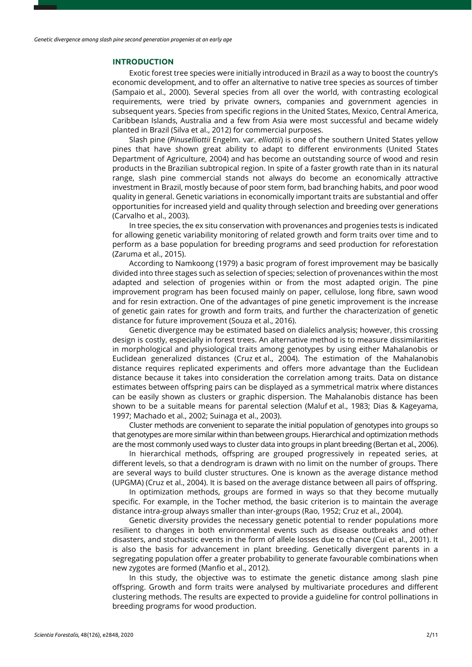#### **INTRODUCTION**

Exotic forest tree species were initially introduced in Brazil as a way to boost the country's economic development, and to offer an alternative to native tree species as sources of timber (Sampaio et al., 2000). Several species from all over the world, with contrasting ecological requirements, were tried by private owners, companies and government agencies in subsequent years. Species from specific regions in the United States, Mexico, Central America, Caribbean Islands, Australia and a few from Asia were most successful and became widely planted in Brazil (Silva et al., 2012) for commercial purposes.

Slash pine (*Pinuselliottii* Engelm. var. *elliottii*) is one of the southern United States yellow pines that have shown great ability to adapt to different environments (United States Department of Agriculture, 2004) and has become an outstanding source of wood and resin products in the Brazilian subtropical region. In spite of a faster growth rate than in its natural range, slash pine commercial stands not always do become an economically attractive investment in Brazil, mostly because of poor stem form, bad branching habits, and poor wood quality in general. Genetic variations in economically important traits are substantial and offer opportunities for increased yield and quality through selection and breeding over generations (Carvalho et al., 2003).

In tree species, the ex situ conservation with provenances and progenies tests is indicated for allowing genetic variability monitoring of related growth and form traits over time and to perform as a base population for breeding programs and seed production for reforestation (Zaruma et al., 2015).

According to Namkoong (1979) a basic program of forest improvement may be basically divided into three stages such as selection of species; selection of provenances within the most adapted and selection of progenies within or from the most adapted origin. The pine improvement program has been focused mainly on paper, cellulose, long fibre, sawn wood and for resin extraction. One of the advantages of pine genetic improvement is the increase of genetic gain rates for growth and form traits, and further the characterization of genetic distance for future improvement (Souza et al., 2016).

Genetic divergence may be estimated based on dialelics analysis; however, this crossing design is costly, especially in forest trees. An alternative method is to measure dissimilarities in morphological and physiological traits among genotypes by using either Mahalanobis or Euclidean generalized distances (Cruz et al., 2004). The estimation of the Mahalanobis distance requires replicated experiments and offers more advantage than the Euclidean distance because it takes into consideration the correlation among traits. Data on distance estimates between offspring pairs can be displayed as a symmetrical matrix where distances can be easily shown as clusters or graphic dispersion. The Mahalanobis distance has been shown to be a suitable means for parental selection (Maluf et al., 1983; Dias & Kageyama, 1997; Machado et al., 2002; Suinaga et al., 2003).

Cluster methods are convenient to separate the initial population of genotypes into groups so that genotypes are more similar within than between groups. Hierarchical and optimization methods are the most commonly used ways to cluster data into groups in plant breeding (Bertan et al., 2006).

In hierarchical methods, offspring are grouped progressively in repeated series, at different levels, so that a dendrogram is drawn with no limit on the number of groups. There are several ways to build cluster structures. One is known as the average distance method (UPGMA) (Cruz et al., 2004). It is based on the average distance between all pairs of offspring.

In optimization methods, groups are formed in ways so that they become mutually specific. For example, in the Tocher method, the basic criterion is to maintain the average distance intra-group always smaller than inter-groups (Rao, 1952; Cruz et al., 2004).

Genetic diversity provides the necessary genetic potential to render populations more resilient to changes in both environmental events such as disease outbreaks and other disasters, and stochastic events in the form of allele losses due to chance (Cui et al., 2001). It is also the basis for advancement in plant breeding. Genetically divergent parents in a segregating population offer a greater probability to generate favourable combinations when new zygotes are formed (Manfio et al., 2012).

In this study, the objective was to estimate the genetic distance among slash pine offspring. Growth and form traits were analysed by multivariate procedures and different clustering methods. The results are expected to provide a guideline for control pollinations in breeding programs for wood production.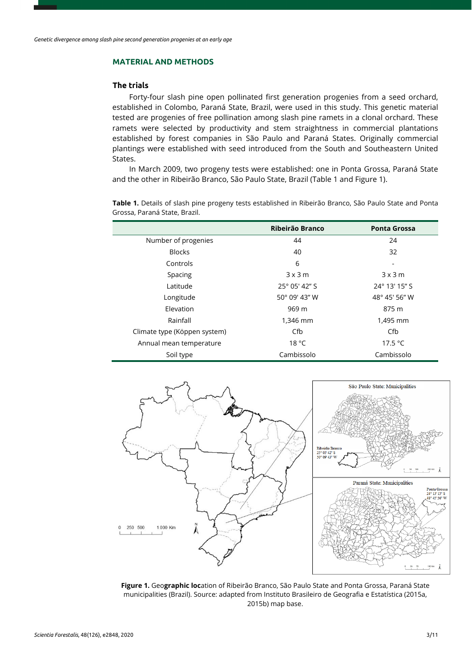## **MATERIAL AND METHODS**

## **The trials**

Forty-four slash pine open pollinated first generation progenies from a seed orchard, established in Colombo, Paraná State, Brazil, were used in this study. This genetic material tested are progenies of free pollination among slash pine ramets in a clonal orchard. These ramets were selected by productivity and stem straightness in commercial plantations established by forest companies in São Paulo and Paraná States. Originally commercial plantings were established with seed introduced from the South and Southeastern United States.

In March 2009, two progeny tests were established: one in Ponta Grossa, Paraná State and the other in Ribeirão Branco, São Paulo State, Brazil (Table 1 and Figure 1).

**Table 1.** Details of slash pine progeny tests established in Ribeirão Branco, São Paulo State and Ponta Grossa, Paraná State, Brazil.

|                              | Ribeirão Branco | <b>Ponta Grossa</b> |
|------------------------------|-----------------|---------------------|
| Number of progenies          | 44              | 24                  |
| <b>Blocks</b>                | 40              | 32                  |
| Controls                     | 6               |                     |
| Spacing                      | $3 \times 3$ m  | $3 \times 3$ m      |
| Latitude                     | 25° 05' 42" S   | 24° 13' 15" S       |
| Longitude                    | 50° 09' 43" W   | 48° 45' 56" W       |
| Elevation                    | 969 m           | 875 m               |
| Rainfall                     | 1,346 mm        | 1,495 mm            |
| Climate type (Köppen system) | Cfb             | Cfb                 |
| Annual mean temperature      | 18 °C           | 17.5 °C             |
| Soil type                    | Cambissolo      | Cambissolo          |



**Figure 1.** Geo**graphic loc**ation of Ribeirão Branco, São Paulo State and Ponta Grossa, Paraná State municipalities (Brazil). Source: adapted from Instituto Brasileiro de Geografia e Estatística (2015a, 2015b) map base.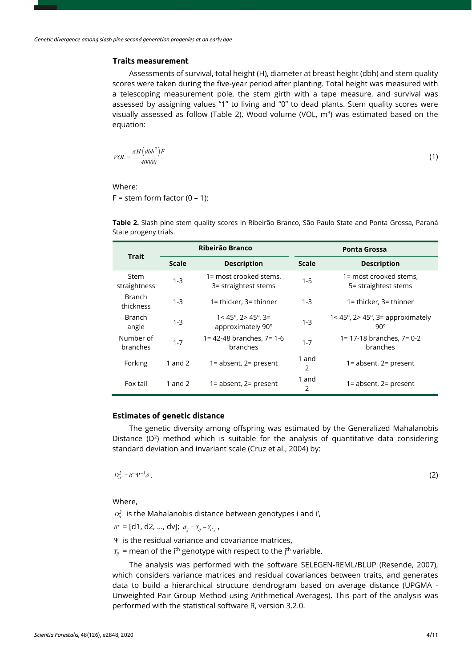### **Traits measurement**

Assessments of survival, total height (H), diameter at breast height (dbh) and stem quality scores were taken during the five-year period after planting. Total height was measured with a telescoping measurement pole, the stem girth with a tape measure, and survival was assessed by assigning values "1" to living and "0" to dead plants. Stem quality scores were visually assessed as follow (Table 2). Wood volume (VOL,  $m^3$ ) was estimated based on the equation:

$$
VOL = \frac{\pi H \left(dbh^2\right)F}{40000}
$$
\n<sup>(1)</sup>

Where:

 $F =$  stem form factor (0 – 1);

**Table 2.** Slash pine stem quality scores in Ribeirão Branco, São Paulo State and Ponta Grossa, Paraná State progeny trials.

| <b>Trait</b>               |              | Ribeirão Branco                                              | <b>Ponta Grossa</b> |                                                                     |  |  |
|----------------------------|--------------|--------------------------------------------------------------|---------------------|---------------------------------------------------------------------|--|--|
|                            | <b>Scale</b> | <b>Description</b>                                           | <b>Scale</b>        | <b>Description</b>                                                  |  |  |
| Stem<br>straightness       | $1 - 3$      | 1= most crooked stems,<br>3= straightest stems               | $1 - 5$             | 1= most crooked stems,<br>5= straightest stems                      |  |  |
| <b>Branch</b><br>thickness | $1 - 3$      | $1 =$ thicker, $3 =$ thinner                                 | $1 - 3$             | $1 =$ thicker, $3 =$ thinner                                        |  |  |
| <b>Branch</b><br>angle     | $1 - 3$      | $1 < 45^{\circ}$ , 2 $45^{\circ}$ , 3 =<br>approximately 90° | $1 - 3$             | $1 < 45^\circ$ , $2 > 45^\circ$ , $3 =$ approximately<br>$90^\circ$ |  |  |
| Number of<br>branches      | $1 - 7$      | 1= 42-48 branches, 7= 1-6<br>branches                        | $1 - 7$             | 1= 17-18 branches, 7= 0-2<br>branches                               |  |  |
| Forking                    | 1 and $2$    | $1 =$ absent, $2 =$ present                                  | 1 and<br>2          | $1 =$ absent, $2 =$ present                                         |  |  |
| Fox tail                   | 1 and $2$    | $1 =$ absent, $2 =$ present                                  | 1 and<br>2          | $1 =$ absent, $2 =$ present                                         |  |  |

#### **Estimates of genetic distance**

The genetic diversity among offspring was estimated by the Generalized Mahalanobis Distance  $(D^2)$  method which is suitable for the analysis of quantitative data considering standard deviation and invariant scale (Cruz et al., 2004) by:

 $D_{ii'}^2 = \delta^{\dagger} \Psi^{-1} \delta$ ,  $D_{ii'}^2 = \delta^{i} \Psi^{-1} \delta$ , (2)

Where,

 $D^2_{ii^\prime}$  is the Mahalanobis distance between genotypes i and i',

 $\delta' = [d1, d2, ..., dv]; d_i = Y_{ii} - Y_{i'j'}$ 

- Ψ is the residual variance and covariance matrices,
- $Y_{ii}$  = mean of the i<sup>th</sup> genotype with respect to the j<sup>th</sup> variable.

The analysis was performed with the software SELEGEN-REML/BLUP (Resende, 2007), which considers variance matrices and residual covariances between traits, and generates data to build a hierarchical structure dendrogram based on average distance (UPGMA - Unweighted Pair Group Method using Arithmetical Averages). This part of the analysis was performed with the statistical software R, version 3.2.0.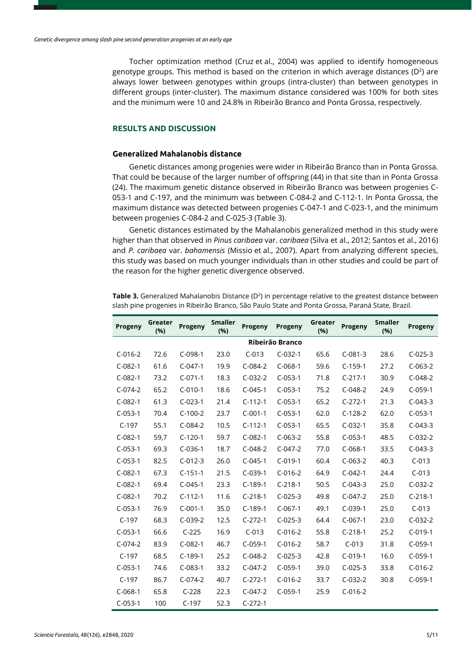Tocher optimization method (Cruz et al., 2004) was applied to identify homogeneous genotype groups. This method is based on the criterion in which average distances ( $D^2$ ) are always lower between genotypes within groups (intra-cluster) than between genotypes in different groups (inter-cluster). The maximum distance considered was 100% for both sites and the minimum were 10 and 24.8% in Ribeirão Branco and Ponta Grossa, respectively.

## **RESULTS AND DISCUSSION**

## **Generalized Mahalanobis distance**

Genetic distances among progenies were wider in Ribeirão Branco than in Ponta Grossa. That could be because of the larger number of offspring (44) in that site than in Ponta Grossa (24). The maximum genetic distance observed in Ribeirão Branco was between progenies C-053-1 and C-197, and the minimum was between C-084-2 and C-112-1. In Ponta Grossa, the maximum distance was detected between progenies C-047-1 and C-023-1, and the minimum between progenies C-084-2 and C-025-3 (Table 3).

Genetic distances estimated by the Mahalanobis generalized method in this study were higher than that observed in *Pinus caribaea* var. *caribaea* (Silva et al., 2012; Santos et al., 2016) and *P. caribaea* var. *bahamensis* (Missio et al., 2007). Apart from analyzing different species, this study was based on much younger individuals than in other studies and could be part of the reason for the higher genetic divergence observed.

| Progeny         | Greater<br>(%) | Progeny   | <b>Smaller</b><br>(%) | Progeny   | Progeny   | Greater<br>(%) | Progeny   | <b>Smaller</b><br>(96) | <b>Progeny</b> |
|-----------------|----------------|-----------|-----------------------|-----------|-----------|----------------|-----------|------------------------|----------------|
| Ribeirão Branco |                |           |                       |           |           |                |           |                        |                |
| $C-016-2$       | 72.6           | $C-098-1$ | 23.0                  | $C-013$   | $C-032-1$ | 65.6           | $C-081-3$ | 28.6                   | $C-025-3$      |
| $C-082-1$       | 61.6           | $C-047-1$ | 19.9                  | $C-084-2$ | $C-068-1$ | 59.6           | $C-159-1$ | 27.2                   | $C-063-2$      |
| $C-082-1$       | 73.2           | $C-071-1$ | 18.3                  | $C-032-2$ | $C-053-1$ | 71.8           | $C-217-1$ | 30.9                   | $C-048-2$      |
| $C-074-2$       | 65.2           | $C-010-1$ | 18.6                  | $C-045-1$ | $C-053-1$ | 75.2           | $C-048-2$ | 24.9                   | $C-059-1$      |
| $C-082-1$       | 61.3           | $C-023-1$ | 21.4                  | $C-112-1$ | $C-053-1$ | 65.2           | $C-272-1$ | 21.3                   | $C-043-3$      |
| $C-053-1$       | 70.4           | $C-100-2$ | 23.7                  | $C-001-1$ | $C-053-1$ | 62.0           | $C-128-2$ | 62.0                   | $C-053-1$      |
| $C-197$         | 55.1           | $C-084-2$ | 10.5                  | $C-112-1$ | $C-053-1$ | 65.5           | $C-032-1$ | 35.8                   | $C-043-3$      |
| $C-082-1$       | 59,7           | $C-120-1$ | 59.7                  | $C-082-1$ | $C-063-2$ | 55.8           | $C-053-1$ | 48.5                   | $C-032-2$      |
| $C-053-1$       | 69.3           | $C-036-1$ | 18.7                  | $C-048-2$ | $C-047-2$ | 77.0           | $C-068-1$ | 33.5                   | $C-043-3$      |
| $C-053-1$       | 82.5           | $C-012-3$ | 26.0                  | $C-045-1$ | $C-019-1$ | 60.4           | $C-063-2$ | 40.3                   | $C-013$        |
| $C-082-1$       | 67.3           | $C-151-1$ | 21.5                  | $C-039-1$ | $C-016-2$ | 64.9           | $C-042-1$ | 24.4                   | $C-013$        |
| $C-082-1$       | 69.4           | $C-045-1$ | 23.3                  | $C-189-1$ | $C-218-1$ | 50.5           | $C-043-3$ | 25.0                   | $C-032-2$      |
| $C-082-1$       | 70.2           | $C-112-1$ | 11.6                  | $C-218-1$ | $C-025-3$ | 49.8           | $C-047-2$ | 25.0                   | $C-218-1$      |
| $C-053-1$       | 76.9           | $C-001-1$ | 35.0                  | $C-189-1$ | $C-067-1$ | 49.1           | $C-039-1$ | 25.0                   | $C-013$        |
| $C-197$         | 68.3           | $C-039-2$ | 12.5                  | $C-272-1$ | $C-025-3$ | 64.4           | $C-067-1$ | 23.0                   | $C-032-2$      |
| $C-053-1$       | 66.6           | $C-225$   | 16.9                  | $C-013$   | $C-016-2$ | 55.8           | $C-218-1$ | 25.2                   | $C-019-1$      |
| $C-074-2$       | 83.9           | $C-082-1$ | 46.7                  | $C-059-1$ | $C-016-2$ | 58.7           | $C-013$   | 31.8                   | $C-059-1$      |
| $C-197$         | 68.5           | $C-189-1$ | 25.2                  | $C-048-2$ | $C-025-3$ | 42.8           | $C-019-1$ | 16.0                   | $C-059-1$      |
| $C-053-1$       | 74.6           | $C-083-1$ | 33.2                  | $C-047-2$ | $C-059-1$ | 39.0           | $C-025-3$ | 33.8                   | $C-016-2$      |
| $C-197$         | 86.7           | $C-074-2$ | 40.7                  | $C-272-1$ | $C-016-2$ | 33.7           | $C-032-2$ | 30.8                   | $C-059-1$      |
| $C-068-1$       | 65.8           | $C-228$   | 22.3                  | $C-047-2$ | $C-059-1$ | 25.9           | $C-016-2$ |                        |                |
| $C-053-1$       | 100            | $C-197$   | 52.3                  | $C-272-1$ |           |                |           |                        |                |

Table 3. Generalized Mahalanobis Distance (D<sup>2</sup>) in percentage relative to the greatest distance between slash pine progenies in Ribeirão Branco, São Paulo State and Ponta Grossa, Paraná State, Brazil.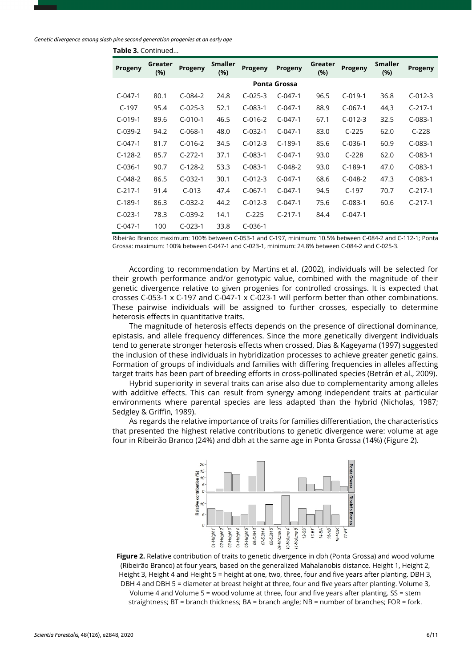**Table 3.** Continued...

| Progeny             | Greater<br>(%) | <b>Progeny</b> | <b>Smaller</b><br>(%) | <b>Progeny</b> | Progeny   | Greater<br>(%) | <b>Progeny</b> | <b>Smaller</b><br>(%) | Progeny   |
|---------------------|----------------|----------------|-----------------------|----------------|-----------|----------------|----------------|-----------------------|-----------|
| <b>Ponta Grossa</b> |                |                |                       |                |           |                |                |                       |           |
| $C-047-1$           | 80.1           | $C-084-2$      | 24.8                  | $C-025-3$      | $C-047-1$ | 96.5           | $C-019-1$      | 36.8                  | $C-012-3$ |
| $C-197$             | 95.4           | $C-025-3$      | 52.1                  | $C-083-1$      | $C-047-1$ | 88.9           | $C-067-1$      | 44,3                  | $C-217-1$ |
| $C-019-1$           | 89.6           | $C-010-1$      | 46.5                  | $C-016-2$      | $C-047-1$ | 67.1           | $C-012-3$      | 32.5                  | $C-083-1$ |
| $C-039-2$           | 94.2           | $C-068-1$      | 48.0                  | $C-032-1$      | $C-047-1$ | 83.0           | $C-225$        | 62.0                  | $C-228$   |
| $C-047-1$           | 81.7           | $C-016-2$      | 34.5                  | $C-012-3$      | $C-189-1$ | 85.6           | $C-036-1$      | 60.9                  | $C-083-1$ |
| $C-128-2$           | 85.7           | $C-272-1$      | 37.1                  | $C-083-1$      | $C-047-1$ | 93.0           | $C-228$        | 62.0                  | $C-083-1$ |
| $C-036-1$           | 90.7           | $C-128-2$      | 53.3                  | $C-083-1$      | $C-048-2$ | 93.0           | $C-189-1$      | 47.0                  | $C-083-1$ |
| $C-048-2$           | 86.5           | $C-032-1$      | 30.1                  | $C-012-3$      | $C-047-1$ | 68.6           | $C-048-2$      | 47.3                  | $C-083-1$ |
| $C-217-1$           | 91.4           | $C-013$        | 47.4                  | $C-067-1$      | $C-047-1$ | 94.5           | $C-197$        | 70.7                  | $C-217-1$ |
| $C-189-1$           | 86.3           | $C-032-2$      | 44.2                  | $C-012-3$      | $C-047-1$ | 75.6           | $C-083-1$      | 60.6                  | $C-217-1$ |
| $C-023-1$           | 78.3           | $C-039-2$      | 14.1                  | $C-225$        | $C-217-1$ | 84.4           | $C-047-1$      |                       |           |
| $C-047-1$           | 100            | $C-023-1$      | 33.8                  | $C-036-1$      |           |                |                |                       |           |

Ribeirão Branco: maximum: 100% between C-053-1 and C-197, minimum: 10.5% between C-084-2 and C-112-1; Ponta

Grossa: maximum: 100% between C-047-1 and C-023-1, minimum: 24.8% between C-084-2 and C-025-3.

According to recommendation by Martins et al. (2002), individuals will be selected for their growth performance and/or genotypic value, combined with the magnitude of their genetic divergence relative to given progenies for controlled crossings. It is expected that crosses C-053-1 x C-197 and C-047-1 x C-023-1 will perform better than other combinations. These pairwise individuals will be assigned to further crosses, especially to determine heterosis effects in quantitative traits.

The magnitude of heterosis effects depends on the presence of directional dominance, epistasis, and allele frequency differences. Since the more genetically divergent individuals tend to generate stronger heterosis effects when crossed, Dias & Kageyama (1997) suggested the inclusion of these individuals in hybridization processes to achieve greater genetic gains. Formation of groups of individuals and families with differing frequencies in alleles affecting target traits has been part of breeding efforts in cross-pollinated species (Betrán et al., 2009).

Hybrid superiority in several traits can arise also due to complementarity among alleles with additive effects. This can result from synergy among independent traits at particular environments where parental species are less adapted than the hybrid (Nicholas, 1987; Sedgley & Griffin, 1989).

As regards the relative importance of traits for families differentiation, the characteristics that presented the highest relative contributions to genetic divergence were: volume at age four in Ribeirão Branco (24%) and dbh at the same age in Ponta Grossa (14%) (Figure 2).



**Figure 2.** Relative contribution of traits to genetic divergence in dbh (Ponta Grossa) and wood volume (Ribeirão Branco) at four years, based on the generalized Mahalanobis distance. Height 1, Height 2, Height 3, Height 4 and Height 5 = height at one, two, three, four and five years after planting. DBH 3, DBH 4 and DBH 5 = diameter at breast height at three, four and five years after planting. Volume 3, Volume 4 and Volume 5 = wood volume at three, four and five years after planting. SS = stem straightness; BT = branch thickness; BA = branch angle; NB = number of branches; FOR = fork.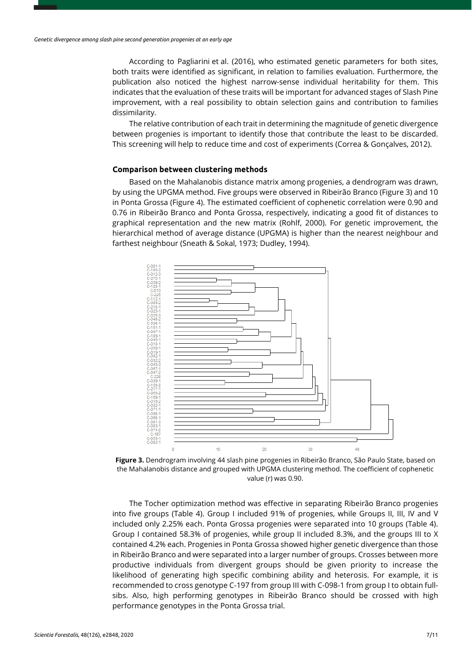According to Pagliarini et al. (2016), who estimated genetic parameters for both sites, both traits were identified as significant, in relation to families evaluation. Furthermore, the publication also noticed the highest narrow-sense individual heritability for them. This indicates that the evaluation of these traits will be important for advanced stages of Slash Pine improvement, with a real possibility to obtain selection gains and contribution to families dissimilarity.

The relative contribution of each trait in determining the magnitude of genetic divergence between progenies is important to identify those that contribute the least to be discarded. This screening will help to reduce time and cost of experiments (Correa & Gonçalves, 2012).

### **Comparison between clustering methods**

Based on the Mahalanobis distance matrix among progenies, a dendrogram was drawn, by using the UPGMA method. Five groups were observed in Ribeirão Branco (Figure 3) and 10 in Ponta Grossa (Figure 4). The estimated coefficient of cophenetic correlation were 0.90 and 0.76 in Ribeirão Branco and Ponta Grossa, respectively, indicating a good fit of distances to graphical representation and the new matrix (Rohlf, 2000). For genetic improvement, the hierarchical method of average distance (UPGMA) is higher than the nearest neighbour and farthest neighbour (Sneath & Sokal, 1973; Dudley, 1994).



**Figure 3.** Dendrogram involving 44 slash pine progenies in Ribeirão Branco, São Paulo State, based on the Mahalanobis distance and grouped with UPGMA clustering method. The coefficient of cophenetic value (r) was 0.90.

The Tocher optimization method was effective in separating Ribeirão Branco progenies into five groups (Table 4). Group I included 91% of progenies, while Groups II, III, IV and V included only 2.25% each. Ponta Grossa progenies were separated into 10 groups (Table 4). Group I contained 58.3% of progenies, while group II included 8.3%, and the groups III to X contained 4.2% each. Progenies in Ponta Grossa showed higher genetic divergence than those in Ribeirão Branco and were separated into a larger number of groups. Crosses between more productive individuals from divergent groups should be given priority to increase the likelihood of generating high specific combining ability and heterosis. For example, it is recommended to cross genotype C-197 from group III with C-098-1 from group I to obtain fullsibs. Also, high performing genotypes in Ribeirão Branco should be crossed with high performance genotypes in the Ponta Grossa trial.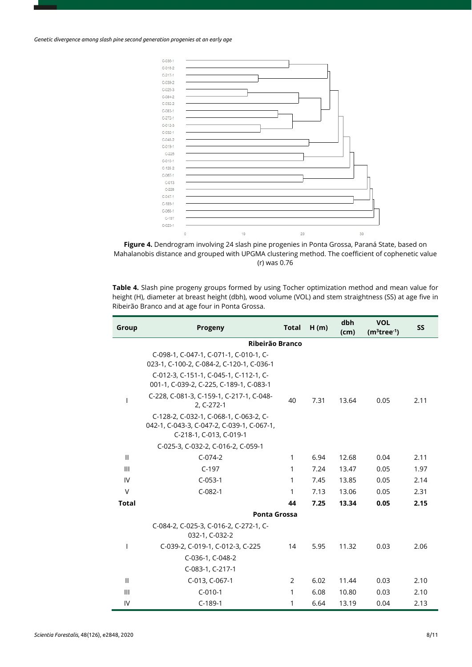*Genetic divergence among slash pine second generation progenies at an early age*



**Figure 4.** Dendrogram involving 24 slash pine progenies in Ponta Grossa, Paraná State, based on Mahalanobis distance and grouped with UPGMA clustering method. The coefficient of cophenetic value (r) was 0.76

**Table 4.** Slash pine progeny groups formed by using Tocher optimization method and mean value for height (H), diameter at breast height (dbh), wood volume (VOL) and stem straightness (SS) at age five in Ribeirão Branco and at age four in Ponta Grossa.

| Group        | Progeny                                                                                                         | <b>Total</b> | H(m) | dbh<br>(cm) | <b>VOL</b><br>$(m3tree-1)$ | <b>SS</b> |
|--------------|-----------------------------------------------------------------------------------------------------------------|--------------|------|-------------|----------------------------|-----------|
|              | Ribeirão Branco                                                                                                 |              |      |             |                            |           |
|              | C-098-1, C-047-1, C-071-1, C-010-1, C-<br>023-1, C-100-2, C-084-2, C-120-1, C-036-1                             |              |      |             |                            |           |
|              | C-012-3, C-151-1, C-045-1, C-112-1, C-<br>001-1, C-039-2, C-225, C-189-1, C-083-1                               |              |      |             |                            |           |
|              | C-228, C-081-3, C-159-1, C-217-1, C-048-<br>2, C-272-1                                                          | 40           | 7.31 | 13.64       | 0.05                       | 2.11      |
|              | C-128-2, C-032-1, C-068-1, C-063-2, C-<br>042-1, C-043-3, C-047-2, C-039-1, C-067-1,<br>C-218-1, C-013, C-019-1 |              |      |             |                            |           |
|              | C-025-3, C-032-2, C-016-2, C-059-1                                                                              |              |      |             |                            |           |
| $\mathbf{H}$ | $C-074-2$                                                                                                       | 1            | 6.94 | 12.68       | 0.04                       | 2.11      |
| Ш            | $C-197$                                                                                                         | 1            | 7.24 | 13.47       | 0.05                       | 1.97      |
| IV           | $C-053-1$                                                                                                       | 1            | 7.45 | 13.85       | 0.05                       | 2.14      |
| $\vee$       | $C-082-1$                                                                                                       | 1            | 7.13 | 13.06       | 0.05                       | 2.31      |
| <b>Total</b> |                                                                                                                 | 44           | 7.25 | 13.34       | 0.05                       | 2.15      |
|              | <b>Ponta Grossa</b>                                                                                             |              |      |             |                            |           |
|              | C-084-2, C-025-3, C-016-2, C-272-1, C-<br>032-1, C-032-2                                                        |              |      |             |                            |           |
| I.           | C-039-2, C-019-1, C-012-3, C-225                                                                                | 14           | 5.95 | 11.32       | 0.03                       | 2.06      |
|              | C-036-1, C-048-2                                                                                                |              |      |             |                            |           |
|              | C-083-1, C-217-1                                                                                                |              |      |             |                            |           |
| $\mathbf{H}$ | C-013, C-067-1                                                                                                  | 2            | 6.02 | 11.44       | 0.03                       | 2.10      |
| Ш            | $C-010-1$                                                                                                       | 1            | 6.08 | 10.80       | 0.03                       | 2.10      |
| IV           | $C-189-1$                                                                                                       | 1            | 6.64 | 13.19       | 0.04                       | 2.13      |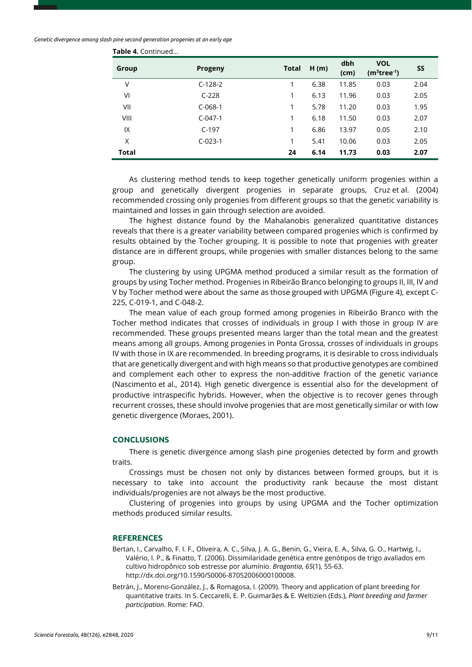| Group        | <b>Progeny</b> | <b>Total</b> | H(m) | dbh<br>(cm) | <b>VOL</b><br>$(m3tree-1)$ | <b>SS</b> |
|--------------|----------------|--------------|------|-------------|----------------------------|-----------|
| V            | $C-128-2$      |              | 6.38 | 11.85       | 0.03                       | 2.04      |
| VI           | $C-228$        |              | 6.13 | 11.96       | 0.03                       | 2.05      |
| VII          | $C-068-1$      | 1            | 5.78 | 11.20       | 0.03                       | 1.95      |
| VIII         | $C-047-1$      | 1            | 6.18 | 11.50       | 0.03                       | 2.07      |
| IX           | $C-197$        | 1            | 6.86 | 13.97       | 0.05                       | 2.10      |
| Χ            | $C-023-1$      | 1            | 5.41 | 10.06       | 0.03                       | 2.05      |
| <b>Total</b> |                | 24           | 6.14 | 11.73       | 0.03                       | 2.07      |

**Table 4.** Continued...

As clustering method tends to keep together genetically uniform progenies within a group and genetically divergent progenies in separate groups, Cruz et al. (2004) recommended crossing only progenies from different groups so that the genetic variability is maintained and losses in gain through selection are avoided.

The highest distance found by the Mahalanobis generalized quantitative distances reveals that there is a greater variability between compared progenies which is confirmed by results obtained by the Tocher grouping. It is possible to note that progenies with greater distance are in different groups, while progenies with smaller distances belong to the same group.

The clustering by using UPGMA method produced a similar result as the formation of groups by using Tocher method. Progenies in Ribeirão Branco belonging to groups II, III, IV and V by Tocher method were about the same as those grouped with UPGMA (Figure 4), except C-225, C-019-1, and C-048-2.

The mean value of each group formed among progenies in Ribeirão Branco with the Tocher method indicates that crosses of individuals in group I with those in group IV are recommended. These groups presented means larger than the total mean and the greatest means among all groups. Among progenies in Ponta Grossa, crosses of individuals in groups IV with those in IX are recommended. In breeding programs, it is desirable to cross individuals that are genetically divergent and with high means so that productive genotypes are combined and complement each other to express the non-additive fraction of the genetic variance (Nascimento et al., 2014). High genetic divergence is essential also for the development of productive intraspecific hybrids. However, when the objective is to recover genes through recurrent crosses, these should involve progenies that are most genetically similar or with low genetic divergence (Moraes, 2001).

#### **CONCLUSIONS**

There is genetic divergence among slash pine progenies detected by form and growth traits.

Crossings must be chosen not only by distances between formed groups, but it is necessary to take into account the productivity rank because the most distant individuals/progenies are not always be the most productive.

Clustering of progenies into groups by using UPGMA and the Tocher optimization methods produced similar results.

#### **REFERENCES**

- Bertan, I., Carvalho, F. I. F., Oliveira, A. C., Silva, J. A. G., Benin, G., Vieira, E. A., Silva, G. O., Hartwig, I., Valério, I. P., & Finatto, T. (2006). Dissimilaridade genética entre genótipos de trigo avaliados em cultivo hidropônico sob estresse por alumínio. *Bragantia*, *65*(1), 55-63. [http://dx.doi.org/10.1590/S0006-87052006000100008.](https://doi.org/10.1590/S0006-87052006000100008)
- Betrán, J., Moreno-González, J., & Romagosa, I. (2009). Theory and application of plant breeding for quantitative traits. In S. Ceccarelli, E. P. Guimarães & E. Weltizien (Eds.), *Plant breeding and farmer participation*. Rome: FAO.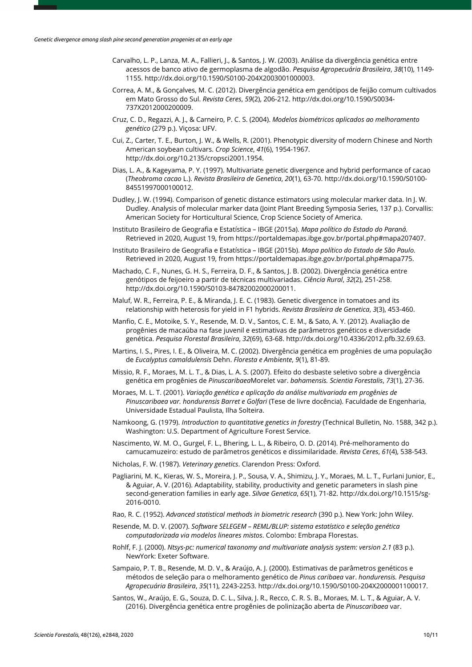- Carvalho, L. P., Lanza, M. A., Fallieri, J., & Santos, J. W. (2003). Análise da divergência genética entre acessos de banco ativo de germoplasma de algodão. *Pesquisa Agropecuária Brasileira*, *38*(10), 1149- 1155[. http://dx.doi.org/10.1590/S0100-204X2003001000003.](https://doi.org/10.1590/S0100-204X2003001000003)
- Correa, A. M., & Gonçalves, M. C. (2012). Divergência genética em genótipos de feijão comum cultivados em Mato Grosso do Sul. *Revista Ceres*, *59*(2), 206-212. [http://dx.doi.org/10.1590/S0034-](https://doi.org/10.1590/S0034-737X2012000200009) [737X2012000200009.](https://doi.org/10.1590/S0034-737X2012000200009)
- Cruz, C. D., Regazzi, A. J., & Carneiro, P. C. S. (2004). *Modelos biométricos aplicados ao melhoramento genético* (279 p.). Viçosa: UFV.
- Cui, Z., Carter, T. E., Burton, J. W., & Wells, R. (2001). Phenotypic diversity of modern Chinese and North American soybean cultivars. *Crop Science*, *41*(6), 1954-1967. [http://dx.doi.org/10.2135/cropsci2001.1954.](https://doi.org/10.2135/cropsci2001.1954)
- Dias, L. A., & Kageyama, P. Y. (1997). Multivariate genetic divergence and hybrid performance of cacao (*Theobroma cacao* L.). *Revista Brasileira de Genetica*, *20*(1), 63-70[. http://dx.doi.org/10.1590/S0100-](https://doi.org/10.1590/S0100-84551997000100012) [84551997000100012.](https://doi.org/10.1590/S0100-84551997000100012)
- Dudley, J. W. (1994). Comparison of genetic distance estimators using molecular marker data. In J. W. Dudley. Analysis of molecular marker data (Joint Plant Breeding Symposia Series, 137 p.). Corvallis: American Society for Horticultural Science, Crop Science Society of America.
- Instituto Brasileiro de Geografia e Estatística IBGE (2015a). *Mapa político do Estado do Paraná.* Retrieved in 2020, August 19, from https://portaldemapas.ibge.gov.br/portal.php#mapa207407.
- Instituto Brasileiro de Geografia e Estatística IBGE (2015b). *Mapa político do Estado de São Paulo.* Retrieved in 2020, August 19, from https://portaldemapas.ibge.gov.br/portal.php#mapa775.
- Machado, C. F., Nunes, G. H. S., Ferreira, D. F., & Santos, J. B. (2002). Divergência genética entre genótipos de feijoeiro a partir de técnicas multivariadas. *Ciência Rural*, *32*(2), 251-258. [http://dx.doi.org/10.1590/S0103-84782002000200011.](https://doi.org/10.1590/S0103-84782002000200011)
- Maluf, W. R., Ferreira, P. E., & Miranda, J. E. C. (1983). Genetic divergence in tomatoes and its relationship with heterosis for yield in F1 hybrids. *Revista Brasileira de Genetica*, *3*(3), 453-460.
- Manfio, C. E., Motoike, S. Y., Resende, M. D. V., Santos, C. E. M., & Sato, A. Y. (2012). Avaliação de progênies de macaúba na fase juvenil e estimativas de parâmetros genéticos e diversidade genética. *Pesquisa Florestal Brasileira*, *32*(69), 63-68. [http://dx.doi.org/10.4336/2012.pfb.32.69.63.](https://doi.org/10.4336/2012.pfb.32.69.63)
- Martins, I. S., Pires, I. E., & Oliveira, M. C. (2002). Divergência genética em progênies de uma população de *Eucalyptus camaldulensis* Dehn. *Floresta e Ambiente*, *9*(1), 81-89.
- Missio, R. F., Moraes, M. L. T., & Dias, L. A. S. (2007). Efeito do desbaste seletivo sobre a divergência genética em progênies de *Pinuscaribaea*Morelet var. *bahamensis. Scientia Forestalis*, *73*(1), 27-36.
- Moraes, M. L. T. (2001). *Variação genética e aplicação da análise multivariada em progênies de Pinuscaribaea var. hondurensis Barret e Golfari* (Tese de livre docência). Faculdade de Engenharia, Universidade Estadual Paulista, Ilha Solteira.
- Namkoong, G. (1979). *Introduction to quantitative genetics in forestry* (Technical Bulletin, No. 1588, 342 p.). Washington: U.S. Department of Agriculture Forest Service.
- Nascimento, W. M. O., Gurgel, F. L., Bhering, L. L., & Ribeiro, O. D. (2014). Pré-melhoramento do camucamuzeiro: estudo de parâmetros genéticos e dissimilaridade. *Revista Ceres*, *61*(4), 538-543.
- Nicholas, F. W. (1987). *Veterinary genetics*. Clarendon Press: Oxford.
- Pagliarini, M. K., Kieras, W. S., Moreira, J. P., Sousa, V. A., Shimizu, J. Y., Moraes, M. L. T., Furlani Junior, E., & Aguiar, A. V. (2016). Adaptability, stability, productivity and genetic parameters in slash pine second-generation families in early age. *Silvae Genetica*, *65*(1), 71-82. [http://dx.doi.org/10.1515/sg-](https://doi.org/10.1515/sg-2016-0010)[2016-0010.](https://doi.org/10.1515/sg-2016-0010)
- Rao, R. C. (1952). *Advanced statistical methods in biometric research* (390 p.). New York: John Wiley.
- Resende, M. D. V. (2007). *Software SELEGEM – REML/BLUP: sistema estatístico e seleção genética computadorizada via modelos lineares mistos*. Colombo: Embrapa Florestas.
- Rohlf, F. J. (2000). *Ntsys-pc: numerical taxonomy and multivariate analysis system: version 2.1* (83 p.). NewYork: Exeter Software.
- Sampaio, P. T. B., Resende, M. D. V., & Araújo, A. J. (2000). Estimativas de parâmetros genéticos e métodos de seleção para o melhoramento genético de *Pinus caribaea* var. *hondurensis. Pesquisa Agropecuária Brasileira*, *35*(11), 2243-2253[. http://dx.doi.org/10.1590/S0100-204X2000001100017.](https://doi.org/10.1590/S0100-204X2000001100017)
- Santos, W., Araújo, E. G., Souza, D. C. L., Silva, J. R., Recco, C. R. S. B., Moraes, M. L. T., & Aguiar, A. V. (2016). Divergência genética entre progênies de polinização aberta de *Pinuscaribaea* var.